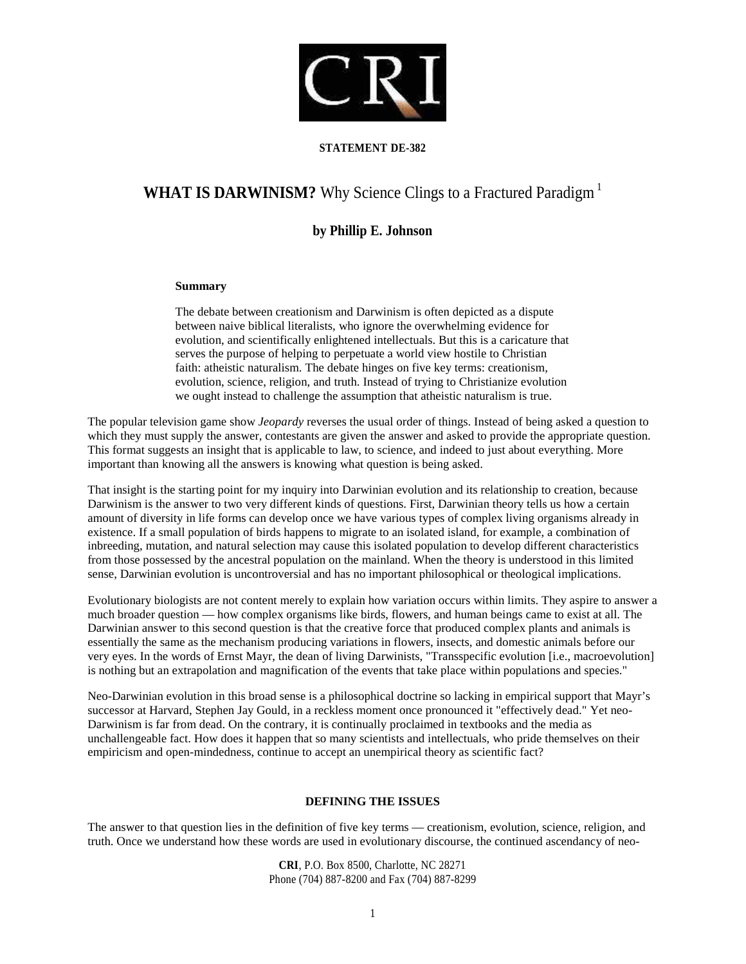

## **STATEMENT DE-382**

# WHAT IS DARWINISM? Why Science Clings to a Fractured Paradigm<sup>1</sup>

## **by Phillip E. Johnson**

## **Summary**

The debate between creationism and Darwinism is often depicted as a dispute between naive biblical literalists, who ignore the overwhelming evidence for evolution, and scientifically enlightened intellectuals. But this is a caricature that serves the purpose of helping to perpetuate a world view hostile to Christian faith: atheistic naturalism. The debate hinges on five key terms: creationism, evolution, science, religion, and truth. Instead of trying to Christianize evolution we ought instead to challenge the assumption that atheistic naturalism is true.

The popular television game show *Jeopardy* reverses the usual order of things. Instead of being asked a question to which they must supply the answer, contestants are given the answer and asked to provide the appropriate question. This format suggests an insight that is applicable to law, to science, and indeed to just about everything. More important than knowing all the answers is knowing what question is being asked.

That insight is the starting point for my inquiry into Darwinian evolution and its relationship to creation, because Darwinism is the answer to two very different kinds of questions. First, Darwinian theory tells us how a certain amount of diversity in life forms can develop once we have various types of complex living organisms already in existence. If a small population of birds happens to migrate to an isolated island, for example, a combination of inbreeding, mutation, and natural selection may cause this isolated population to develop different characteristics from those possessed by the ancestral population on the mainland. When the theory is understood in this limited sense, Darwinian evolution is uncontroversial and has no important philosophical or theological implications.

Evolutionary biologists are not content merely to explain how variation occurs within limits. They aspire to answer a much broader question — how complex organisms like birds, flowers, and human beings came to exist at all. The Darwinian answer to this second question is that the creative force that produced complex plants and animals is essentially the same as the mechanism producing variations in flowers, insects, and domestic animals before our very eyes. In the words of Ernst Mayr, the dean of living Darwinists, "Transspecific evolution [i.e., macroevolution] is nothing but an extrapolation and magnification of the events that take place within populations and species."

Neo-Darwinian evolution in this broad sense is a philosophical doctrine so lacking in empirical support that Mayr's successor at Harvard, Stephen Jay Gould, in a reckless moment once pronounced it "effectively dead." Yet neo-Darwinism is far from dead. On the contrary, it is continually proclaimed in textbooks and the media as unchallengeable fact. How does it happen that so many scientists and intellectuals, who pride themselves on their empiricism and open-mindedness, continue to accept an unempirical theory as scientific fact?

## **DEFINING THE ISSUES**

The answer to that question lies in the definition of five key terms — creationism, evolution, science, religion, and truth. Once we understand how these words are used in evolutionary discourse, the continued ascendancy of neo-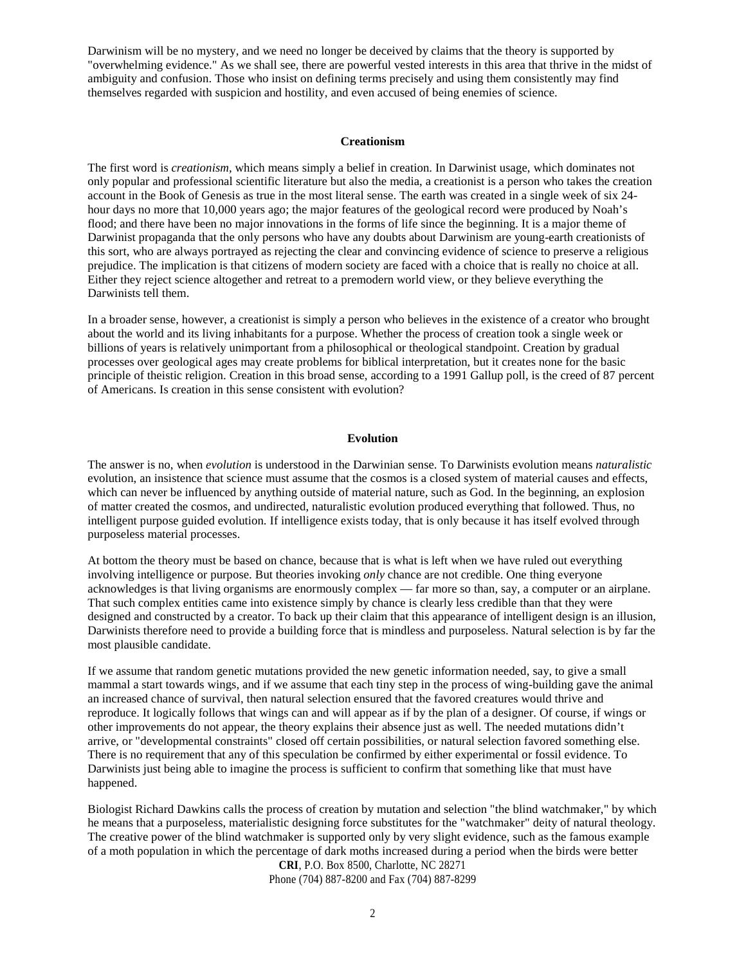Darwinism will be no mystery, and we need no longer be deceived by claims that the theory is supported by "overwhelming evidence." As we shall see, there are powerful vested interests in this area that thrive in the midst of ambiguity and confusion. Those who insist on defining terms precisely and using them consistently may find themselves regarded with suspicion and hostility, and even accused of being enemies of science.

#### **Creationism**

The first word is *creationism,* which means simply a belief in creation. In Darwinist usage, which dominates not only popular and professional scientific literature but also the media, a creationist is a person who takes the creation account in the Book of Genesis as true in the most literal sense. The earth was created in a single week of six 24 hour days no more that 10,000 years ago; the major features of the geological record were produced by Noah's flood; and there have been no major innovations in the forms of life since the beginning. It is a major theme of Darwinist propaganda that the only persons who have any doubts about Darwinism are young-earth creationists of this sort, who are always portrayed as rejecting the clear and convincing evidence of science to preserve a religious prejudice. The implication is that citizens of modern society are faced with a choice that is really no choice at all. Either they reject science altogether and retreat to a premodern world view, or they believe everything the Darwinists tell them.

In a broader sense, however, a creationist is simply a person who believes in the existence of a creator who brought about the world and its living inhabitants for a purpose. Whether the process of creation took a single week or billions of years is relatively unimportant from a philosophical or theological standpoint. Creation by gradual processes over geological ages may create problems for biblical interpretation, but it creates none for the basic principle of theistic religion. Creation in this broad sense, according to a 1991 Gallup poll, is the creed of 87 percent of Americans. Is creation in this sense consistent with evolution?

## **Evolution**

The answer is no, when *evolution* is understood in the Darwinian sense. To Darwinists evolution means *naturalistic* evolution, an insistence that science must assume that the cosmos is a closed system of material causes and effects, which can never be influenced by anything outside of material nature, such as God. In the beginning, an explosion of matter created the cosmos, and undirected, naturalistic evolution produced everything that followed. Thus, no intelligent purpose guided evolution. If intelligence exists today, that is only because it has itself evolved through purposeless material processes.

At bottom the theory must be based on chance, because that is what is left when we have ruled out everything involving intelligence or purpose. But theories invoking *only* chance are not credible. One thing everyone acknowledges is that living organisms are enormously complex — far more so than, say, a computer or an airplane. That such complex entities came into existence simply by chance is clearly less credible than that they were designed and constructed by a creator. To back up their claim that this appearance of intelligent design is an illusion, Darwinists therefore need to provide a building force that is mindless and purposeless. Natural selection is by far the most plausible candidate.

If we assume that random genetic mutations provided the new genetic information needed, say, to give a small mammal a start towards wings, and if we assume that each tiny step in the process of wing-building gave the animal an increased chance of survival, then natural selection ensured that the favored creatures would thrive and reproduce. It logically follows that wings can and will appear as if by the plan of a designer. Of course, if wings or other improvements do not appear, the theory explains their absence just as well. The needed mutations didn't arrive, or "developmental constraints" closed off certain possibilities, or natural selection favored something else. There is no requirement that any of this speculation be confirmed by either experimental or fossil evidence. To Darwinists just being able to imagine the process is sufficient to confirm that something like that must have happened.

Biologist Richard Dawkins calls the process of creation by mutation and selection "the blind watchmaker," by which he means that a purposeless, materialistic designing force substitutes for the "watchmaker" deity of natural theology. The creative power of the blind watchmaker is supported only by very slight evidence, such as the famous example of a moth population in which the percentage of dark moths increased during a period when the birds were better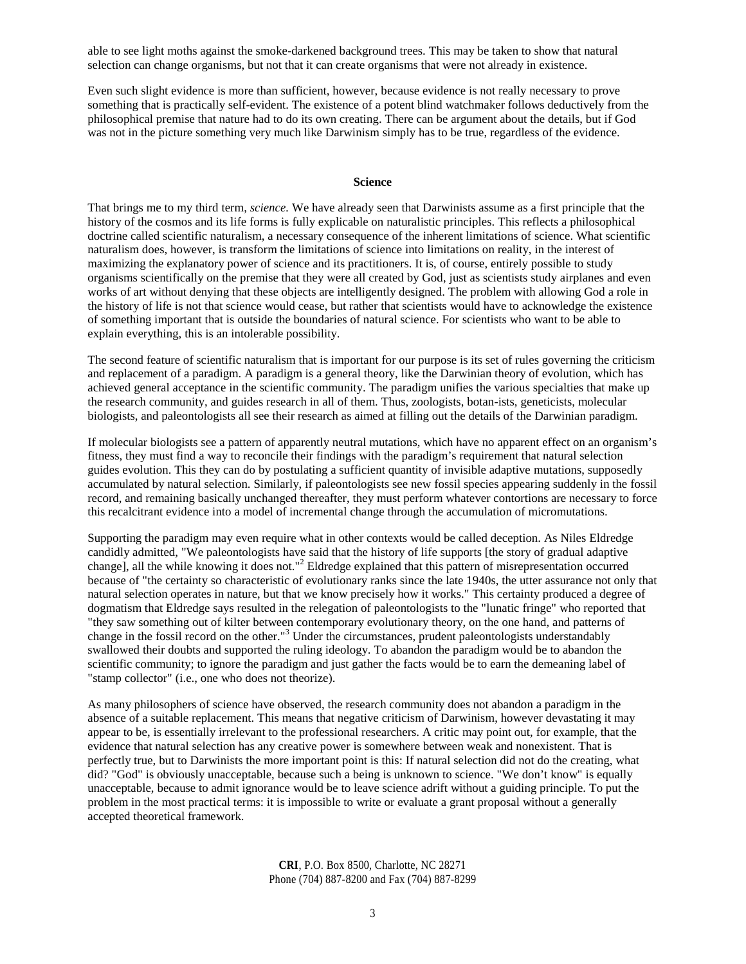able to see light moths against the smoke-darkened background trees. This may be taken to show that natural selection can change organisms, but not that it can create organisms that were not already in existence.

Even such slight evidence is more than sufficient, however, because evidence is not really necessary to prove something that is practically self-evident. The existence of a potent blind watchmaker follows deductively from the philosophical premise that nature had to do its own creating. There can be argument about the details, but if God was not in the picture something very much like Darwinism simply has to be true, regardless of the evidence.

#### **Science**

That brings me to my third term, *science.* We have already seen that Darwinists assume as a first principle that the history of the cosmos and its life forms is fully explicable on naturalistic principles. This reflects a philosophical doctrine called scientific naturalism, a necessary consequence of the inherent limitations of science. What scientific naturalism does, however, is transform the limitations of science into limitations on reality, in the interest of maximizing the explanatory power of science and its practitioners. It is, of course, entirely possible to study organisms scientifically on the premise that they were all created by God, just as scientists study airplanes and even works of art without denying that these objects are intelligently designed. The problem with allowing God a role in the history of life is not that science would cease, but rather that scientists would have to acknowledge the existence of something important that is outside the boundaries of natural science. For scientists who want to be able to explain everything, this is an intolerable possibility.

The second feature of scientific naturalism that is important for our purpose is its set of rules governing the criticism and replacement of a paradigm. A paradigm is a general theory, like the Darwinian theory of evolution, which has achieved general acceptance in the scientific community. The paradigm unifies the various specialties that make up the research community, and guides research in all of them. Thus, zoologists, botan-ists, geneticists, molecular biologists, and paleontologists all see their research as aimed at filling out the details of the Darwinian paradigm.

If molecular biologists see a pattern of apparently neutral mutations, which have no apparent effect on an organism's fitness, they must find a way to reconcile their findings with the paradigm's requirement that natural selection guides evolution. This they can do by postulating a sufficient quantity of invisible adaptive mutations, supposedly accumulated by natural selection. Similarly, if paleontologists see new fossil species appearing suddenly in the fossil record, and remaining basically unchanged thereafter, they must perform whatever contortions are necessary to force this recalcitrant evidence into a model of incremental change through the accumulation of micromutations.

Supporting the paradigm may even require what in other contexts would be called deception. As Niles Eldredge candidly admitted, "We paleontologists have said that the history of life supports [the story of gradual adaptive change], all the while knowing it does not."<sup>2</sup> Eldredge explained that this pattern of misrepresentation occurred because of "the certainty so characteristic of evolutionary ranks since the late 1940s, the utter assurance not only that natural selection operates in nature, but that we know precisely how it works." This certainty produced a degree of dogmatism that Eldredge says resulted in the relegation of paleontologists to the "lunatic fringe" who reported that "they saw something out of kilter between contemporary evolutionary theory, on the one hand, and patterns of change in the fossil record on the other."<sup>3</sup> Under the circumstances, prudent paleontologists understandably swallowed their doubts and supported the ruling ideology. To abandon the paradigm would be to abandon the scientific community; to ignore the paradigm and just gather the facts would be to earn the demeaning label of "stamp collector" (i.e., one who does not theorize).

As many philosophers of science have observed, the research community does not abandon a paradigm in the absence of a suitable replacement. This means that negative criticism of Darwinism, however devastating it may appear to be, is essentially irrelevant to the professional researchers. A critic may point out, for example, that the evidence that natural selection has any creative power is somewhere between weak and nonexistent. That is perfectly true, but to Darwinists the more important point is this: If natural selection did not do the creating, what did? "God" is obviously unacceptable, because such a being is unknown to science. "We don't know" is equally unacceptable, because to admit ignorance would be to leave science adrift without a guiding principle. To put the problem in the most practical terms: it is impossible to write or evaluate a grant proposal without a generally accepted theoretical framework.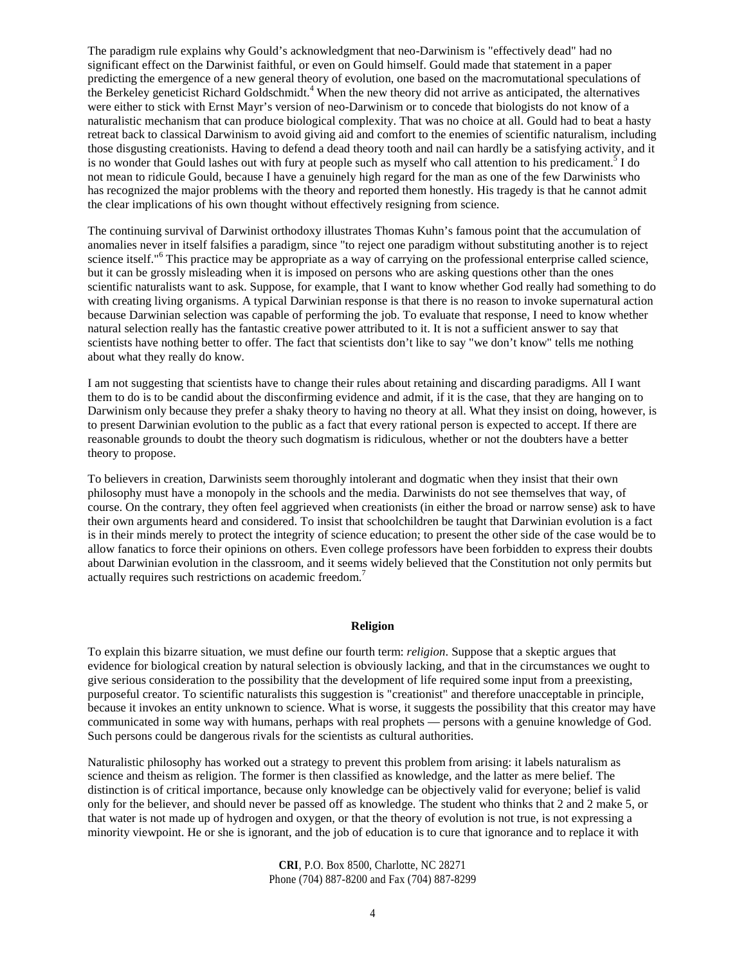The paradigm rule explains why Gould's acknowledgment that neo-Darwinism is "effectively dead" had no significant effect on the Darwinist faithful, or even on Gould himself. Gould made that statement in a paper predicting the emergence of a new general theory of evolution, one based on the macromutational speculations of the Berkeley geneticist Richard Goldschmidt.<sup>4</sup> When the new theory did not arrive as anticipated, the alternatives were either to stick with Ernst Mayr's version of neo-Darwinism or to concede that biologists do not know of a naturalistic mechanism that can produce biological complexity. That was no choice at all. Gould had to beat a hasty retreat back to classical Darwinism to avoid giving aid and comfort to the enemies of scientific naturalism, including those disgusting creationists. Having to defend a dead theory tooth and nail can hardly be a satisfying activity, and it is no wonder that Gould lashes out with fury at people such as myself who call attention to his predicament.<sup>5</sup> I do not mean to ridicule Gould, because I have a genuinely high regard for the man as one of the few Darwinists who has recognized the major problems with the theory and reported them honestly. His tragedy is that he cannot admit the clear implications of his own thought without effectively resigning from science.

The continuing survival of Darwinist orthodoxy illustrates Thomas Kuhn's famous point that the accumulation of anomalies never in itself falsifies a paradigm, since "to reject one paradigm without substituting another is to reject science itself."<sup>6</sup> This practice may be appropriate as a way of carrying on the professional enterprise called science, but it can be grossly misleading when it is imposed on persons who are asking questions other than the ones scientific naturalists want to ask. Suppose, for example, that I want to know whether God really had something to do with creating living organisms. A typical Darwinian response is that there is no reason to invoke supernatural action because Darwinian selection was capable of performing the job. To evaluate that response, I need to know whether natural selection really has the fantastic creative power attributed to it. It is not a sufficient answer to say that scientists have nothing better to offer. The fact that scientists don't like to say "we don't know" tells me nothing about what they really do know.

I am not suggesting that scientists have to change their rules about retaining and discarding paradigms. All I want them to do is to be candid about the disconfirming evidence and admit, if it is the case, that they are hanging on to Darwinism only because they prefer a shaky theory to having no theory at all. What they insist on doing, however, is to present Darwinian evolution to the public as a fact that every rational person is expected to accept. If there are reasonable grounds to doubt the theory such dogmatism is ridiculous, whether or not the doubters have a better theory to propose.

To believers in creation, Darwinists seem thoroughly intolerant and dogmatic when they insist that their own philosophy must have a monopoly in the schools and the media. Darwinists do not see themselves that way, of course. On the contrary, they often feel aggrieved when creationists (in either the broad or narrow sense) ask to have their own arguments heard and considered. To insist that schoolchildren be taught that Darwinian evolution is a fact is in their minds merely to protect the integrity of science education; to present the other side of the case would be to allow fanatics to force their opinions on others. Even college professors have been forbidden to express their doubts about Darwinian evolution in the classroom, and it seems widely believed that the Constitution not only permits but actually requires such restrictions on academic freedom.<sup>7</sup>

#### **Religion**

To explain this bizarre situation, we must define our fourth term: *religion*. Suppose that a skeptic argues that evidence for biological creation by natural selection is obviously lacking, and that in the circumstances we ought to give serious consideration to the possibility that the development of life required some input from a preexisting, purposeful creator. To scientific naturalists this suggestion is "creationist" and therefore unacceptable in principle, because it invokes an entity unknown to science. What is worse, it suggests the possibility that this creator may have communicated in some way with humans, perhaps with real prophets — persons with a genuine knowledge of God. Such persons could be dangerous rivals for the scientists as cultural authorities.

Naturalistic philosophy has worked out a strategy to prevent this problem from arising: it labels naturalism as science and theism as religion. The former is then classified as knowledge, and the latter as mere belief. The distinction is of critical importance, because only knowledge can be objectively valid for everyone; belief is valid only for the believer, and should never be passed off as knowledge. The student who thinks that 2 and 2 make 5, or that water is not made up of hydrogen and oxygen, or that the theory of evolution is not true, is not expressing a minority viewpoint. He or she is ignorant, and the job of education is to cure that ignorance and to replace it with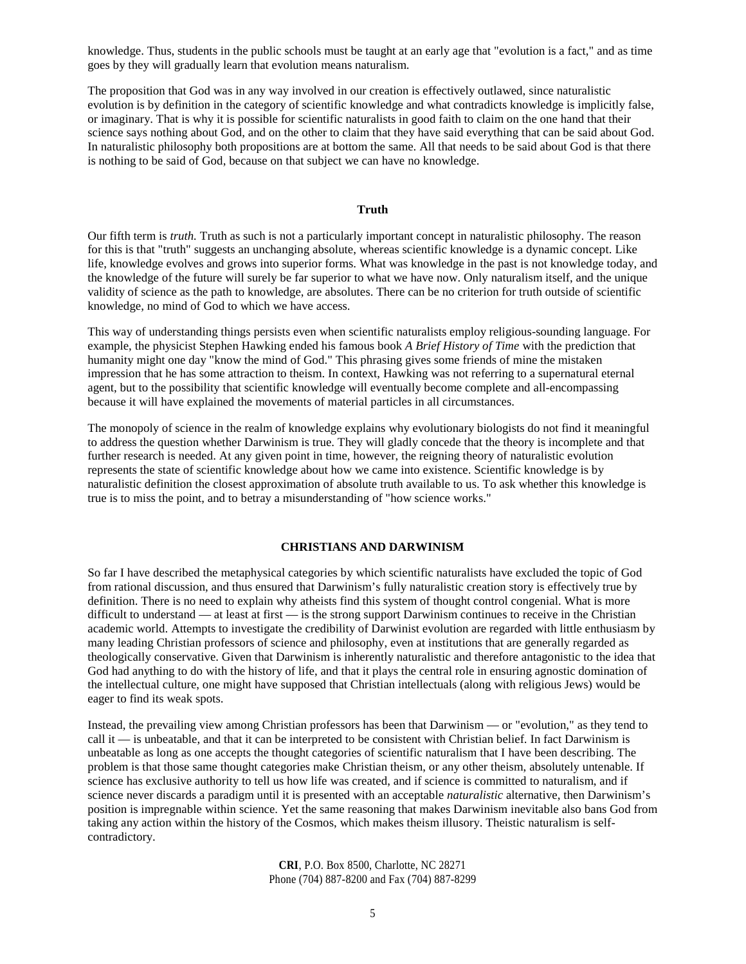knowledge. Thus, students in the public schools must be taught at an early age that "evolution is a fact," and as time goes by they will gradually learn that evolution means naturalism.

The proposition that God was in any way involved in our creation is effectively outlawed, since naturalistic evolution is by definition in the category of scientific knowledge and what contradicts knowledge is implicitly false, or imaginary. That is why it is possible for scientific naturalists in good faith to claim on the one hand that their science says nothing about God, and on the other to claim that they have said everything that can be said about God. In naturalistic philosophy both propositions are at bottom the same. All that needs to be said about God is that there is nothing to be said of God, because on that subject we can have no knowledge.

### **Truth**

Our fifth term is *truth.* Truth as such is not a particularly important concept in naturalistic philosophy. The reason for this is that "truth" suggests an unchanging absolute, whereas scientific knowledge is a dynamic concept. Like life, knowledge evolves and grows into superior forms. What was knowledge in the past is not knowledge today, and the knowledge of the future will surely be far superior to what we have now. Only naturalism itself, and the unique validity of science as the path to knowledge, are absolutes. There can be no criterion for truth outside of scientific knowledge, no mind of God to which we have access.

This way of understanding things persists even when scientific naturalists employ religious-sounding language. For example, the physicist Stephen Hawking ended his famous book *A Brief History of Time* with the prediction that humanity might one day "know the mind of God." This phrasing gives some friends of mine the mistaken impression that he has some attraction to theism. In context, Hawking was not referring to a supernatural eternal agent, but to the possibility that scientific knowledge will eventually become complete and all-encompassing because it will have explained the movements of material particles in all circumstances.

The monopoly of science in the realm of knowledge explains why evolutionary biologists do not find it meaningful to address the question whether Darwinism is true. They will gladly concede that the theory is incomplete and that further research is needed. At any given point in time, however, the reigning theory of naturalistic evolution represents the state of scientific knowledge about how we came into existence. Scientific knowledge is by naturalistic definition the closest approximation of absolute truth available to us. To ask whether this knowledge is true is to miss the point, and to betray a misunderstanding of "how science works."

#### **CHRISTIANS AND DARWINISM**

So far I have described the metaphysical categories by which scientific naturalists have excluded the topic of God from rational discussion, and thus ensured that Darwinism's fully naturalistic creation story is effectively true by definition. There is no need to explain why atheists find this system of thought control congenial. What is more difficult to understand — at least at first — is the strong support Darwinism continues to receive in the Christian academic world. Attempts to investigate the credibility of Darwinist evolution are regarded with little enthusiasm by many leading Christian professors of science and philosophy, even at institutions that are generally regarded as theologically conservative. Given that Darwinism is inherently naturalistic and therefore antagonistic to the idea that God had anything to do with the history of life, and that it plays the central role in ensuring agnostic domination of the intellectual culture, one might have supposed that Christian intellectuals (along with religious Jews) would be eager to find its weak spots.

Instead, the prevailing view among Christian professors has been that Darwinism — or "evolution," as they tend to call it  $-$  is unbeatable, and that it can be interpreted to be consistent with Christian belief. In fact Darwinism is unbeatable as long as one accepts the thought categories of scientific naturalism that I have been describing. The problem is that those same thought categories make Christian theism, or any other theism, absolutely untenable. If science has exclusive authority to tell us how life was created, and if science is committed to naturalism, and if science never discards a paradigm until it is presented with an acceptable *naturalistic* alternative, then Darwinism's position is impregnable within science. Yet the same reasoning that makes Darwinism inevitable also bans God from taking any action within the history of the Cosmos, which makes theism illusory. Theistic naturalism is selfcontradictory.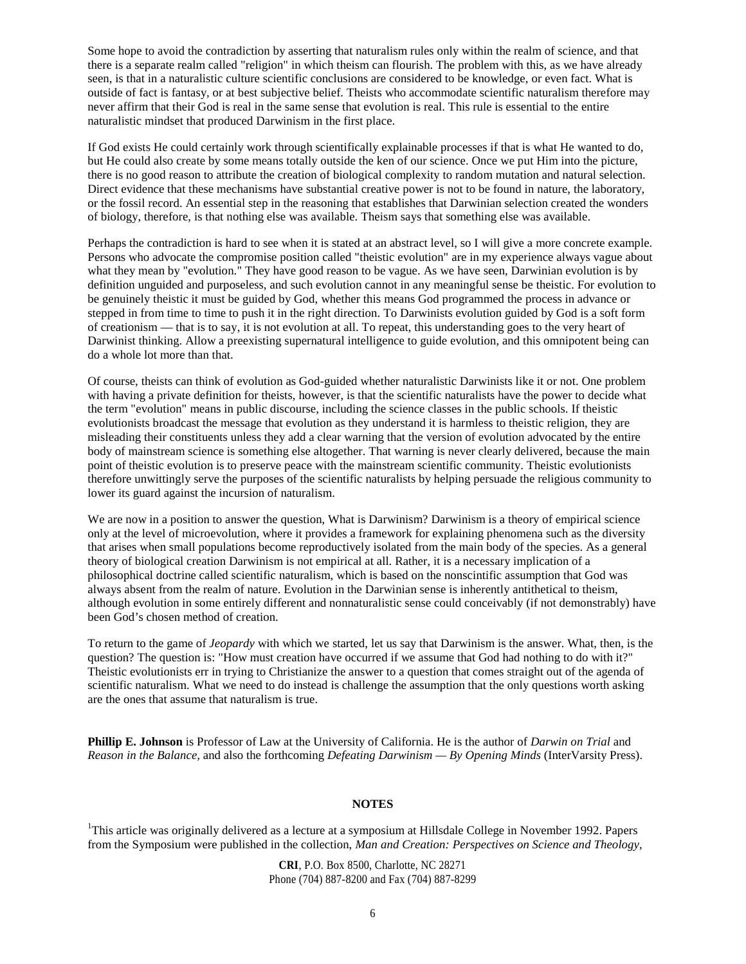Some hope to avoid the contradiction by asserting that naturalism rules only within the realm of science, and that there is a separate realm called "religion" in which theism can flourish. The problem with this, as we have already seen, is that in a naturalistic culture scientific conclusions are considered to be knowledge, or even fact. What is outside of fact is fantasy, or at best subjective belief. Theists who accommodate scientific naturalism therefore may never affirm that their God is real in the same sense that evolution is real. This rule is essential to the entire naturalistic mindset that produced Darwinism in the first place.

If God exists He could certainly work through scientifically explainable processes if that is what He wanted to do, but He could also create by some means totally outside the ken of our science. Once we put Him into the picture, there is no good reason to attribute the creation of biological complexity to random mutation and natural selection. Direct evidence that these mechanisms have substantial creative power is not to be found in nature, the laboratory, or the fossil record. An essential step in the reasoning that establishes that Darwinian selection created the wonders of biology, therefore, is that nothing else was available. Theism says that something else was available.

Perhaps the contradiction is hard to see when it is stated at an abstract level, so I will give a more concrete example. Persons who advocate the compromise position called "theistic evolution" are in my experience always vague about what they mean by "evolution." They have good reason to be vague. As we have seen, Darwinian evolution is by definition unguided and purposeless, and such evolution cannot in any meaningful sense be theistic. For evolution to be genuinely theistic it must be guided by God, whether this means God programmed the process in advance or stepped in from time to time to push it in the right direction. To Darwinists evolution guided by God is a soft form of creationism — that is to say, it is not evolution at all. To repeat, this understanding goes to the very heart of Darwinist thinking. Allow a preexisting supernatural intelligence to guide evolution, and this omnipotent being can do a whole lot more than that.

Of course, theists can think of evolution as God-guided whether naturalistic Darwinists like it or not. One problem with having a private definition for theists, however, is that the scientific naturalists have the power to decide what the term "evolution" means in public discourse, including the science classes in the public schools. If theistic evolutionists broadcast the message that evolution as they understand it is harmless to theistic religion, they are misleading their constituents unless they add a clear warning that the version of evolution advocated by the entire body of mainstream science is something else altogether. That warning is never clearly delivered, because the main point of theistic evolution is to preserve peace with the mainstream scientific community. Theistic evolutionists therefore unwittingly serve the purposes of the scientific naturalists by helping persuade the religious community to lower its guard against the incursion of naturalism.

We are now in a position to answer the question, What is Darwinism? Darwinism is a theory of empirical science only at the level of microevolution, where it provides a framework for explaining phenomena such as the diversity that arises when small populations become reproductively isolated from the main body of the species. As a general theory of biological creation Darwinism is not empirical at all. Rather, it is a necessary implication of a philosophical doctrine called scientific naturalism, which is based on the nonscintific assumption that God was always absent from the realm of nature. Evolution in the Darwinian sense is inherently antithetical to theism, although evolution in some entirely different and nonnaturalistic sense could conceivably (if not demonstrably) have been God's chosen method of creation.

To return to the game of *Jeopardy* with which we started, let us say that Darwinism is the answer. What, then, is the question? The question is: "How must creation have occurred if we assume that God had nothing to do with it?" Theistic evolutionists err in trying to Christianize the answer to a question that comes straight out of the agenda of scientific naturalism. What we need to do instead is challenge the assumption that the only questions worth asking are the ones that assume that naturalism is true.

**Phillip E. Johnson** is Professor of Law at the University of California. He is the author of *Darwin on Trial* and *Reason in the Balance,* and also the forthcoming *Defeating Darwinism — By Opening Minds* (InterVarsity Press).

#### **NOTES**

<sup>1</sup>This article was originally delivered as a lecture at a symposium at Hillsdale College in November 1992. Papers from the Symposium were published in the collection, *Man and Creation: Perspectives on Science and Theology,*